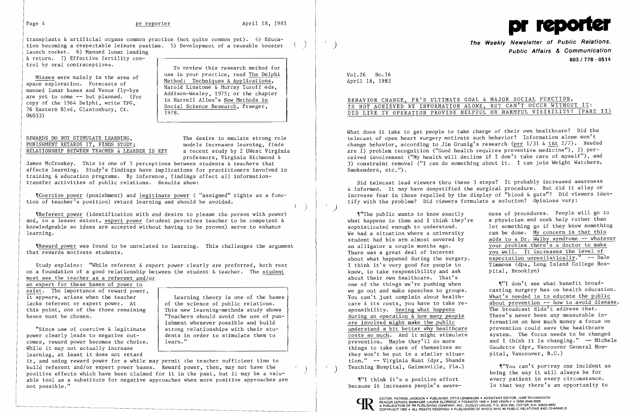

The public wants to know exactly mess of procedures. People will go to what happens to them and I think they're a physician and seek help rather than can be done. My concern is that this adds to a Dr. Welby syndrome -- whatever pital, Brooklyn)

we go out and make speeches to groups. casting surgery has on health education.<br>You can't just complain about health-<br>What's needed is to educate the public care & its costs, you have to take re-<br>sponsibility. Seeing what happens The broadcast didn't address that. prevention. Maybe they'll do more and I think it is changing." -- Michele Gaudette (dpr, Vancouver General Hos-

Teaching Hospital, Gainesville, Fla.) When we an't portray one incluent ( ) and the way it will always be for "I think it's a positive effort every patient in every circumstance.<br>
Youse it increases people's aware-<br>
In that way there's an opportunity to

transplants & artificial organs common practice (not quite common yet). 4) Educa tion becoming a respectable leisure pastime. 5) Development of a reusable booster ) launch rocket. 6) Manned lunar landing

& return. 7) Effective fertility control by oral contraceptives.

copy of the 1964 Delphi, write TFG,<br>
The Harrell Allen's <u>New Methods in</u><br>
Social Science Research, Praeger, 06033)

To review this research method for<br>use in your practice, read The Delphi Misses were mainly in the area of<br>space exploration. Forecasts of<br>manned lunar bases and Venus fly-bys<br>are yet to come -- but planned. (For<br>conv of the 1964 Delphi write TEC<br>matter in Harrell Allen's New Methods in

REWARDS DO NOT STIMULATE LEARNING,<br>
PUNISHMENT RETARDS IT, FINDS STUDY: The desire to emulate strong role PUNISHMENT RETARDS IT, FINDS STUDY;<br>RELATIONSHIP BETWEEN TEACHER & LEARNER IS KEY a recent study by 2 UWest Virginia RELATIONSHIP BETWEEN TEACHER & LEARNER IS KEY

"Coercive power (punishment) and legitimate power ( "assigned" rights as a function of teacher's position) retard learning and should be avoided.

Wheward power was found to be unrelated to learning. This challenges the argument that rewards motivate students.

professors, Virginia Richmond &

an expert for these bases of power to exist. The importance of reward power,<br>it appears, arises when the teacher lacks referent or expert power. At  $\left\{\n\begin{array}{c}\n\text{of the science of public relations.} \\
\text{this point, one of the three remaining}\n\end{array}\n\right\}$ this point, one of the three remaining<br>bases must be chosen.

James McCroskey. This is one of 5 perceptions between students & teachers that affects learning. Study's findings have implications for practitioners involved in training &education programs. By inference, findings affect all informationtransfer activities of public relations. Results show:

Learning theory is one of the bases<br>of the science of public relations. bases must be chosen.  $\qquad \qquad \qquad \qquad \qquad \text{''Teachers should avoid the use of pun-}$ ishment whenever possible and build strong relationships with their stu)

 $\left( \begin{array}{cc} \ell & \end{array} \right)$ 

it, and using reward power for a while may permit the teacher sufficient time to<br>build referent and/or expert power bases. Reward power, then, may not have the positive effects which have been claimed for it in the past, but it may be a valuable tool as a substitute for negative approaches when more positive approaches are not possible."

### BEHAVIOR CHANGE, PR'S ULTIMATE GOAL & MAJOR SOCIAL FUNCTION, IS NOT ACHIEVED BY INFORMATION ALONE, BUT CAN'T OCCUR WITHOUT IT: DID LIVE TV OPERATION PROVIDE HELPFUL OR HARMFUL VISIBILITY? (PART II)

'fReferent power (identification with and desire to please the person with power) and, to a lesser extent, expert power (student perceives teacher to be competent & knowledgeable so ideas are accepted without having to be proven) serve to enhance learning.

What does it take to get people to take charge of their own healthcare? Did the telecast of open heart surgery motivate such behavior? Information alone won't change behavior, according to Jim Grunig's research (prr 1/31 & t&t 2/7). Needed are 1) problem recognition ("Good health requires preventive medicine"), 2) perceived involvement ("My health will decline if I don't take care of myself"), and 3) constraint removal ("I can do something about it. I can join Weight Watchers, Smokenders, etc.").

Study explains: "While referent & expert power clearly are preferred, both rest on a foundation of a good relationship between the student & teacher. The student must see the teacher as a referent and/or

"Since use of coercive & legitimate power clearly leads to negative out- $\vert$  dents in order to stimulate them to comes, reward power becomes the choice.  $\parallel$  learn." While it may not actually increase learning, at least it does not retard

**The Weekly Newsletter of Public Relations,** ) **Public Affairs & Communication 603/778·0514** 

VoL26 No.16 April 18, 1983

Did telecast lead viewers thru these 3 steps? It probably increased awareness & informed. It may have demystified the surgical procedure. But did it allay or increase fear in those repelled by the display of "blood & guts"? Did viewers identify with the problem? Did viewers formulate a solution? Opinions vary:

what happens to them and I think they're a physician and seek help rather than<br>sophisticated enough to understand. <br>let something go if they know somethin sophisticated enough to understand. <br>We had a situation where a university can be done. My concern is that this student had his arm almost severed by<br>an alligator a couple months ago. an alligator a couple months ago.<br>There was a great deal of interest you well. It increases the level of There was a great deal of interest<br>about what happened during the surgery. expectation unrealistically." -- Dal about what happened during the surgery.  $\frac{1}{2}$  expectation unrealistically." -- Dale I think it's very good for people to Timmons (dpa, Long Island College Hosknow, to take responsibility and ask about their own healthcare. That's one of the things we're pushing when **It'll don't see what benefit broad-**<br>we go out and make speeches to groups. Casting surgery has on health educat: You can't just complain about health-<br>You can't just complain about health-<br>What's needed is to educate the public sponsibility. Seeing what happens The broadcast didn't address that. during an operation & how many people There's never been any measurable inare involved might make the public formation on how much money a focus on are involved might make the public<br>
understand a bit better why healthcare<br>
costs so much. And it might stimulate<br>
system. The focus needs to be change costs so much. And it might stimulate system. The focus needs to be changed things to take care of themselves so Gaudette (dpr, Vancouven<br>they won't be put in a similar situa- pital. Vancouver, B.C.) they won't be put in a similar situation." -- Virginia Hunt (dpr, Shands Teaching Hospital, Gainesville, Fla.) M"You can't portray one incident as

because it increases people's aware-



EDITOR, PATRICK JACKSON ● PUBLISHER, OTTO LERBINGER ● ASSISTANT EDITOR, JUNE RICHARDSON<br>READER SERVICE MANAGER, LAURIE ELDRIDGE ● FOUNDED 1958 ● \$100 YEARLY ● ISSN 0048-2609 A PUBLICATION OF PR PUBLISHING COMPANY, INC., DUDLEY HOUSE, P.O. BOX 600, EXETER, N.H. 03833-0600<br>COPYRIGHT 1983 • ALL RIGHTS RESERVED • PUBLISHERS OF WHO'S WHO IN PUBLIC RELATIONS AND CHANNELS